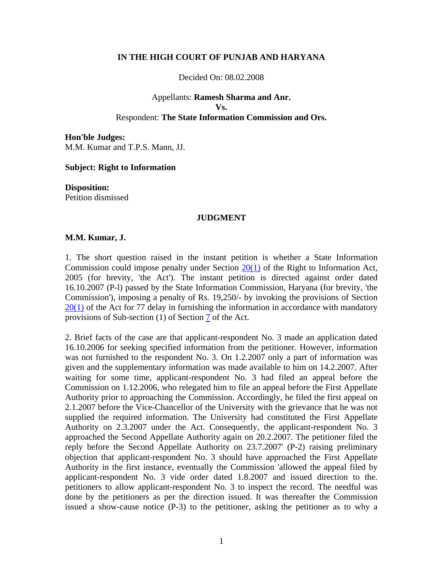### **IN THE HIGH COURT OF PUNJAB AND HARYANA**

Decided On: 08.02.2008

# Appellants: **Ramesh Sharma and Anr. Vs.** Respondent: **The State Information Commission and Ors.**

**Hon'ble Judges:**  M.M. Kumar and T.P.S. Mann, JJ.

### **Subject: Right to Information**

**Disposition:**  Petition dismissed

## **JUDGMENT**

## **M.M. Kumar, J.**

1. The short question raised in the instant petition is whether a State Information Commission could impose penalty under Section  $20(1)$  of the Right to Information Act, 2005 (for brevity, 'the Act'). The instant petition is directed against order dated 16.10.2007 (P-l) passed by the State Information Commission, Haryana (for brevity, 'the Commission'), imposing a penalty of Rs. 19,250/- by invoking the provisions of Section  $20(1)$  of the Act for 77 delay in furnishing the information in accordance with mandatory provisions of Sub-section (1) of Section 7 of the Act.

2. Brief facts of the case are that applicant-respondent No. 3 made an application dated 16.10.2006 for seeking specified information from the petitioner. However, information was not furnished to the respondent No. 3. On 1.2.2007 only a part of information was given and the supplementary information was made available to him on 14.2.2007. After waiting for some time, applicant-respondent No. 3 had filed an appeal before the Commission on 1.12.2006, who relegated him to file an appeal before the First Appellate Authority prior to approaching the Commission. Accordingly, he filed the first appeal on 2.1.2007 before the Vice-Chancellor of the University with the grievance that he was not supplied the required information. The University had constituted the First Appellate Authority on 2.3.2007 under the Act. Consequently, the applicant-respondent No. 3 approached the Second Appellate Authority again on 20.2.2007. The petitioner filed the reply before the Second Appellate Authority on 23.7.2007' (P-2) raising preliminary objection that applicant-respondent No. 3 should have approached the First Appellate Authority in the first instance, eventually the Commission 'allowed the appeal filed by applicant-respondent No. 3 vide order dated 1.8.2007 and issued direction to the. petitioners to allow applicant-respondent No. 3 to inspect the record. The needful was done by the petitioners as per the direction issued. It was thereafter the Commission issued a show-cause notice (P-3) to the petitioner, asking the petitioner as to why a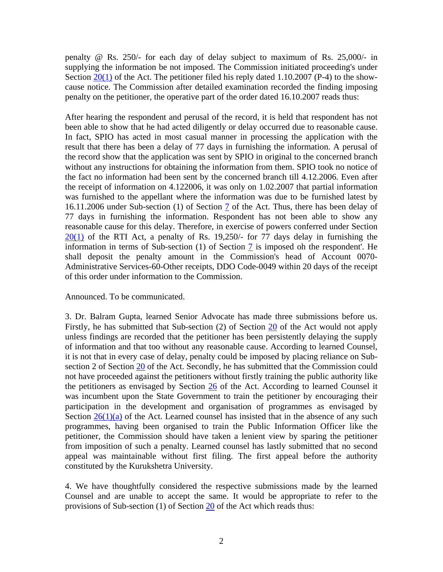penalty @ Rs. 250/- for each day of delay subject to maximum of Rs. 25,000/- in supplying the information be not imposed. The Commission initiated proceeding's under Section  $20(1)$  of the Act. The petitioner filed his reply dated 1.10.2007 (P-4) to the showcause notice. The Commission after detailed examination recorded the finding imposing penalty on the petitioner, the operative part of the order dated 16.10.2007 reads thus:

After hearing the respondent and perusal of the record, it is held that respondent has not been able to show that he had acted diligently or delay occurred due to reasonable cause. In fact, SPIO has acted in most casual manner in processing the application with the result that there has been a delay of 77 days in furnishing the information. A perusal of the record show that the application was sent by SPIO in original to the concerned branch without any instructions for obtaining the information from them. SPIO took no notice of the fact no information had been sent by the concerned branch till 4.12.2006. Even after the receipt of information on 4.122006, it was only on 1.02.2007 that partial information was furnished to the appellant where the information was due to be furnished latest by 16.11.2006 under Sub-section (1) of Section 7 of the Act. Thus, there has been delay of 77 days in furnishing the information. Respondent has not been able to show any reasonable cause for this delay. Therefore, in exercise of powers conferred under Section  $20(1)$  of the RTI Act, a penalty of Rs. 19,250/- for 77 days delay in furnishing the information in terms of Sub-section  $(1)$  of Section  $\overline{7}$  is imposed oh the respondent'. He shall deposit the penalty amount in the Commission's head of Account 0070- Administrative Services-60-Other receipts, DDO Code-0049 within 20 days of the receipt of this order under information to the Commission.

### Announced. To be communicated.

3. Dr. Balram Gupta, learned Senior Advocate has made three submissions before us. Firstly, he has submitted that Sub-section (2) of Section 20 of the Act would not apply unless findings are recorded that the petitioner has been persistently delaying the supply of information and that too without any reasonable cause. According to learned Counsel, it is not that in every case of delay, penalty could be imposed by placing reliance on Subsection 2 of Section 20 of the Act. Secondly, he has submitted that the Commission could not have proceeded against the petitioners without firstly training the public authority like the petitioners as envisaged by Section 26 of the Act. According to learned Counsel it was incumbent upon the State Government to train the petitioner by encouraging their participation in the development and organisation of programmes as envisaged by Section  $26(1)(a)$  of the Act. Learned counsel has insisted that in the absence of any such programmes, having been organised to train the Public Information Officer like the petitioner, the Commission should have taken a lenient view by sparing the petitioner from imposition of such a penalty. Learned counsel has lastly submitted that no second appeal was maintainable without first filing. The first appeal before the authority constituted by the Kurukshetra University.

4. We have thoughtfully considered the respective submissions made by the learned Counsel and are unable to accept the same. It would be appropriate to refer to the provisions of Sub-section (1) of Section 20 of the Act which reads thus: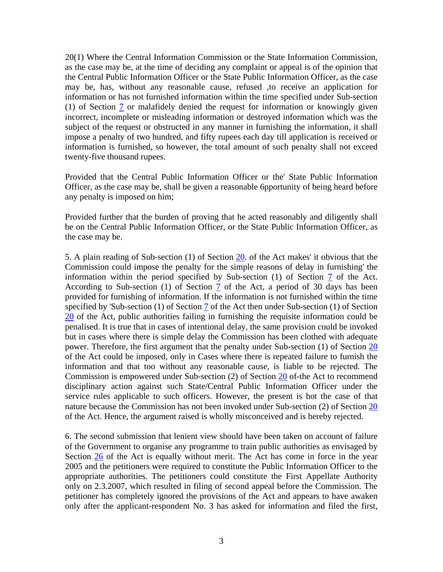20(1) Where the Central Information Commission or the State Information Commission, as the case may be, at the time of deciding any complaint or appeal is of the opinion that the Central Public Information Officer or the State Public Information Officer, as the case may be, has, without any reasonable cause, refused ,to receive an application for information or has not furnished information within the time specified under Sub-section (1) of Section  $\overline{1}$  or malafidely denied the request for information or knowingly given incorrect, incomplete or misleading information or destroyed information which was the subject of the request or obstructed in any manner in furnishing the information, it shall impose a penalty of two hundred, and fifty rupees each day till application is received or information is furnished, so however, the total amount of such penalty shall not exceed twenty-five thousand rupees.

Provided that the Central Public Information Officer or the' State Public Information Officer, as the case may be, shall be given a reasonable 6pportunity of being heard before any penalty is imposed on him;

Provided further that the burden of proving that he acted reasonably and diligently shall be on the Central Public Information Officer, or the State Public Information Officer, as the case may be.

5. A plain reading of Sub-section (1) of Section 20. of the Act makes' it obvious that the Commission could impose the penalty for the simple reasons of delay in furnishing' the information within the period specified by Sub-section (1) of Section 7 of the Act. According to Sub-section (1) of Section 7 of the Act, a period of 30 days has been provided for furnishing of information. If the information is not furnished within the time specified by 'Sub-section (1) of Section 7 of the Act then under Sub-section (1) of Section 20 of the Act, public authorities failing in furnishing the requisite information could be penalised. It is true that in cases of intentional delay, the same provision could be invoked but in cases where there is simple delay the Commission has been clothed with adequate power. Therefore, the first argument that the penalty under Sub-section (1) of Section 20 of the Act could be imposed, only in Cases where there is repeated failure to furnish the information and that too without any reasonable cause, is liable to be rejected. The Commission is empowered under Sub-section (2) of Section 20 of-the Act to recommend disciplinary action against such State/Central Public Information Officer under the service rules applicable to such officers. However, the present is hot the case of that nature because the Commission has not been invoked under Sub-section (2) of Section 20 of the Act. Hence, the argument raised is wholly misconceived and is hereby rejected.

6. The second submission that lenient view should have been taken on account of failure of the Government to organise any programme to train public authorities as envisaged by Section  $26$  of the Act is equally without merit. The Act has come in force in the year 2005 and the petitioners were required to constitute the Public Information Officer to the appropriate authorities. The petitioners could constitute the First Appellate Authority only on 2.3.2007, which resulted in filing of second appeal before the Commission. The petitioner has completely ignored the provisions of the Act and appears to have awaken only after the applicant-respondent No. 3 has asked for information and filed the first,